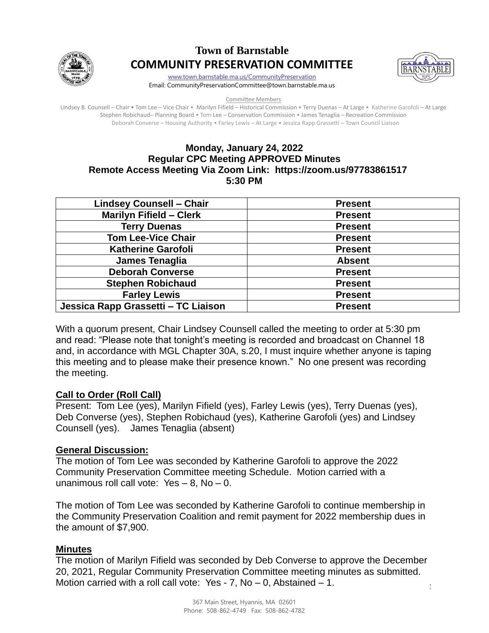

# **Town of Barnstable COMMUNITY PRESERVATION COMMITTEE**



[www.town.barnstable.ma.us/CommunityPreservation](http://www.town.barnstable.ma.us/CommunityPreservation) Email: CommunityPreservationCommittee@town.barnstable.ma.us

Committee Members

Lindsey B. Counsell – Chair • Tom Lee – Vice Chair • Marilyn Fifield – Historical Commission • Terry Duenas – At Large • Katherine Garofoli – At Large Stephen Robichaud– Planning Board • Tom Lee – Conservation Commission • James Tenaglia – Recreation Commission Deborah Converse – Housing Authority • Farley Lewis – At Large • Jessica Rapp Grassetti – Town Council Liaison

## **Monday, January 24, 2022 Regular CPC Meeting APPROVED Minutes Remote Access Meeting Via Zoom Link: https://zoom.us/97783861517 5:30 PM**

| <b>Lindsey Counsell - Chair</b>     | <b>Present</b> |
|-------------------------------------|----------------|
| <b>Marilyn Fifield - Clerk</b>      | <b>Present</b> |
| <b>Terry Duenas</b>                 | <b>Present</b> |
| <b>Tom Lee-Vice Chair</b>           | <b>Present</b> |
| <b>Katherine Garofoli</b>           | <b>Present</b> |
| James Tenaglia                      | <b>Absent</b>  |
| <b>Deborah Converse</b>             | <b>Present</b> |
| <b>Stephen Robichaud</b>            | <b>Present</b> |
| <b>Farley Lewis</b>                 | <b>Present</b> |
| Jessica Rapp Grassetti - TC Liaison | <b>Present</b> |

With a quorum present, Chair Lindsey Counsell called the meeting to order at 5:30 pm and read: "Please note that tonight's meeting is recorded and broadcast on Channel 18 and, in accordance with MGL Chapter 30A, s.20, I must inquire whether anyone is taping this meeting and to please make their presence known." No one present was recording the meeting.

## **Call to Order (Roll Call)**

Present: Tom Lee (yes), Marilyn Fifield (yes), Farley Lewis (yes), Terry Duenas (yes), Deb Converse (yes), Stephen Robichaud (yes), Katherine Garofoli (yes) and Lindsey Counsell (yes). James Tenaglia (absent)

## **General Discussion:**

The motion of Tom Lee was seconded by Katherine Garofoli to approve the 2022 Community Preservation Committee meeting Schedule. Motion carried with a unanimous roll call vote:  $Yes - 8$ , No - 0.

The motion of Tom Lee was seconded by Katherine Garofoli to continue membership in the Community Preservation Coalition and remit payment for 2022 membership dues in the amount of \$7,900.

# **Minutes**

1 The motion of Marilyn Fifield was seconded by Deb Converse to approve the December 20, 2021, Regular Community Preservation Committee meeting minutes as submitted. Motion carried with a roll call vote: Yes - 7, No – 0, Abstained – 1.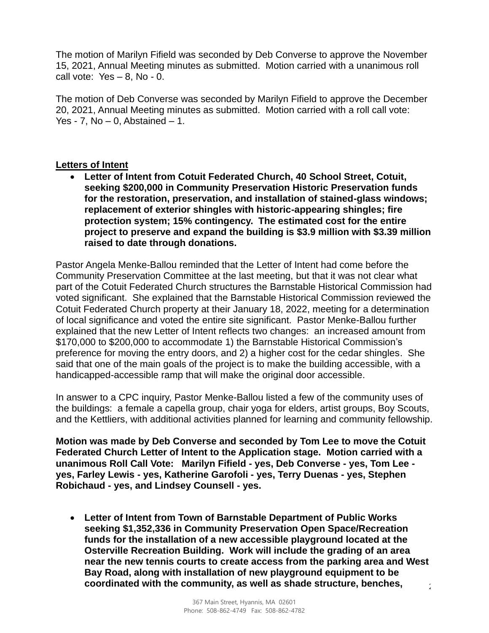The motion of Marilyn Fifield was seconded by Deb Converse to approve the November 15, 2021, Annual Meeting minutes as submitted. Motion carried with a unanimous roll call vote:  $Yes - 8$ , No - 0.

The motion of Deb Converse was seconded by Marilyn Fifield to approve the December 20, 2021, Annual Meeting minutes as submitted. Motion carried with a roll call vote: Yes - 7,  $No - 0$ , Abstained  $- 1$ .

## **Letters of Intent**

• **Letter of Intent from Cotuit Federated Church, 40 School Street, Cotuit, seeking \$200,000 in Community Preservation Historic Preservation funds for the restoration, preservation, and installation of stained-glass windows; replacement of exterior shingles with historic-appearing shingles; fire protection system; 15% contingency. The estimated cost for the entire project to preserve and expand the building is \$3.9 million with \$3.39 million raised to date through donations.**

Pastor Angela Menke-Ballou reminded that the Letter of Intent had come before the Community Preservation Committee at the last meeting, but that it was not clear what part of the Cotuit Federated Church structures the Barnstable Historical Commission had voted significant. She explained that the Barnstable Historical Commission reviewed the Cotuit Federated Church property at their January 18, 2022, meeting for a determination of local significance and voted the entire site significant. Pastor Menke-Ballou further explained that the new Letter of Intent reflects two changes: an increased amount from \$170,000 to \$200,000 to accommodate 1) the Barnstable Historical Commission's preference for moving the entry doors, and 2) a higher cost for the cedar shingles. She said that one of the main goals of the project is to make the building accessible, with a handicapped-accessible ramp that will make the original door accessible.

In answer to a CPC inquiry, Pastor Menke-Ballou listed a few of the community uses of the buildings: a female a capella group, chair yoga for elders, artist groups, Boy Scouts, and the Kettliers, with additional activities planned for learning and community fellowship.

**Motion was made by Deb Converse and seconded by Tom Lee to move the Cotuit Federated Church Letter of Intent to the Application stage. Motion carried with a unanimous Roll Call Vote: Marilyn Fifield - yes, Deb Converse - yes, Tom Lee yes, Farley Lewis - yes, Katherine Garofoli - yes, Terry Duenas - yes, Stephen Robichaud - yes, and Lindsey Counsell - yes.** 

• **Letter of Intent from Town of Barnstable Department of Public Works seeking \$1,352,336 in Community Preservation Open Space/Recreation funds for the installation of a new accessible playground located at the Osterville Recreation Building. Work will include the grading of an area near the new tennis courts to create access from the parking area and West Bay Road, along with installation of new playground equipment to be coordinated with the community, as well as shade structure, benches,**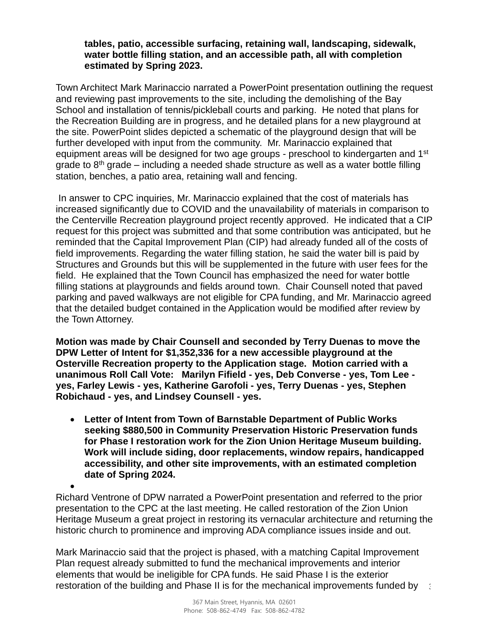## **tables, patio, accessible surfacing, retaining wall, landscaping, sidewalk, water bottle filling station, and an accessible path, all with completion estimated by Spring 2023.**

Town Architect Mark Marinaccio narrated a PowerPoint presentation outlining the request and reviewing past improvements to the site, including the demolishing of the Bay School and installation of tennis/pickleball courts and parking. He noted that plans for the Recreation Building are in progress, and he detailed plans for a new playground at the site. PowerPoint slides depicted a schematic of the playground design that will be further developed with input from the community. Mr. Marinaccio explained that equipment areas will be designed for two age groups - preschool to kindergarten and 1<sup>st</sup> grade to  $8<sup>th</sup>$  grade – including a needed shade structure as well as a water bottle filling station, benches, a patio area, retaining wall and fencing.

In answer to CPC inquiries, Mr. Marinaccio explained that the cost of materials has increased significantly due to COVID and the unavailability of materials in comparison to the Centerville Recreation playground project recently approved. He indicated that a CIP request for this project was submitted and that some contribution was anticipated, but he reminded that the Capital Improvement Plan (CIP) had already funded all of the costs of field improvements. Regarding the water filling station, he said the water bill is paid by Structures and Grounds but this will be supplemented in the future with user fees for the field. He explained that the Town Council has emphasized the need for water bottle filling stations at playgrounds and fields around town. Chair Counsell noted that paved parking and paved walkways are not eligible for CPA funding, and Mr. Marinaccio agreed that the detailed budget contained in the Application would be modified after review by the Town Attorney.

**Motion was made by Chair Counsell and seconded by Terry Duenas to move the DPW Letter of Intent for \$1,352,336 for a new accessible playground at the Osterville Recreation property to the Application stage. Motion carried with a unanimous Roll Call Vote: Marilyn Fifield - yes, Deb Converse - yes, Tom Lee yes, Farley Lewis - yes, Katherine Garofoli - yes, Terry Duenas - yes, Stephen Robichaud - yes, and Lindsey Counsell - yes.** 

• **Letter of Intent from Town of Barnstable Department of Public Works seeking \$880,500 in Community Preservation Historic Preservation funds for Phase I restoration work for the Zion Union Heritage Museum building. Work will include siding, door replacements, window repairs, handicapped accessibility, and other site improvements, with an estimated completion date of Spring 2024.**

• Richard Ventrone of DPW narrated a PowerPoint presentation and referred to the prior presentation to the CPC at the last meeting. He called restoration of the Zion Union Heritage Museum a great project in restoring its vernacular architecture and returning the historic church to prominence and improving ADA compliance issues inside and out.

restoration of the building and Phase II is for the mechanical improvements funded by any-Mark Marinaccio said that the project is phased, with a matching Capital Improvement Plan request already submitted to fund the mechanical improvements and interior elements that would be ineligible for CPA funds. He said Phase I is the exterior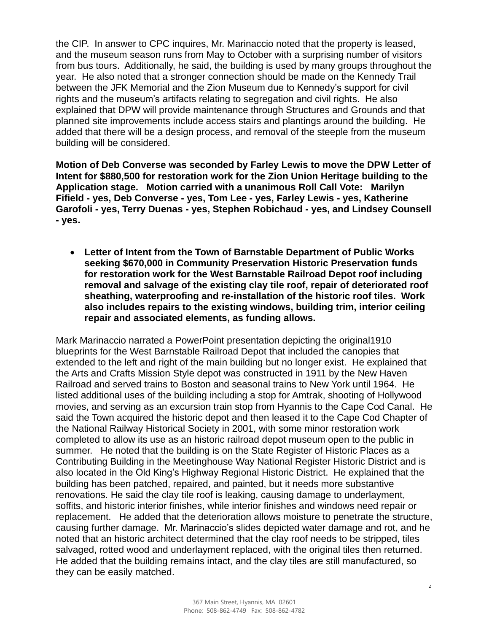the CIP. In answer to CPC inquires, Mr. Marinaccio noted that the property is leased, and the museum season runs from May to October with a surprising number of visitors from bus tours. Additionally, he said, the building is used by many groups throughout the year. He also noted that a stronger connection should be made on the Kennedy Trail between the JFK Memorial and the Zion Museum due to Kennedy's support for civil rights and the museum's artifacts relating to segregation and civil rights. He also explained that DPW will provide maintenance through Structures and Grounds and that planned site improvements include access stairs and plantings around the building. He added that there will be a design process, and removal of the steeple from the museum building will be considered.

**Motion of Deb Converse was seconded by Farley Lewis to move the DPW Letter of Intent for \$880,500 for restoration work for the Zion Union Heritage building to the Application stage. Motion carried with a unanimous Roll Call Vote: Marilyn Fifield - yes, Deb Converse - yes, Tom Lee - yes, Farley Lewis - yes, Katherine Garofoli - yes, Terry Duenas - yes, Stephen Robichaud - yes, and Lindsey Counsell - yes.** 

• **Letter of Intent from the Town of Barnstable Department of Public Works seeking \$670,000 in Community Preservation Historic Preservation funds for restoration work for the West Barnstable Railroad Depot roof including removal and salvage of the existing clay tile roof, repair of deteriorated roof sheathing, waterproofing and re-installation of the historic roof tiles. Work also includes repairs to the existing windows, building trim, interior ceiling repair and associated elements, as funding allows.**

Mark Marinaccio narrated a PowerPoint presentation depicting the original1910 blueprints for the West Barnstable Railroad Depot that included the canopies that extended to the left and right of the main building but no longer exist. He explained that the Arts and Crafts Mission Style depot was constructed in 1911 by the New Haven Railroad and served trains to Boston and seasonal trains to New York until 1964. He listed additional uses of the building including a stop for Amtrak, shooting of Hollywood movies, and serving as an excursion train stop from Hyannis to the Cape Cod Canal. He said the Town acquired the historic depot and then leased it to the Cape Cod Chapter of the National Railway Historical Society in 2001, with some minor restoration work completed to allow its use as an historic railroad depot museum open to the public in summer. He noted that the building is on the State Register of Historic Places as a Contributing Building in the Meetinghouse Way National Register Historic District and is also located in the Old King's Highway Regional Historic District. He explained that the building has been patched, repaired, and painted, but it needs more substantive renovations. He said the clay tile roof is leaking, causing damage to underlayment, soffits, and historic interior finishes, while interior finishes and windows need repair or replacement. He added that the deterioration allows moisture to penetrate the structure, causing further damage. Mr. Marinaccio's slides depicted water damage and rot, and he noted that an historic architect determined that the clay roof needs to be stripped, tiles salvaged, rotted wood and underlayment replaced, with the original tiles then returned. He added that the building remains intact, and the clay tiles are still manufactured, so they can be easily matched.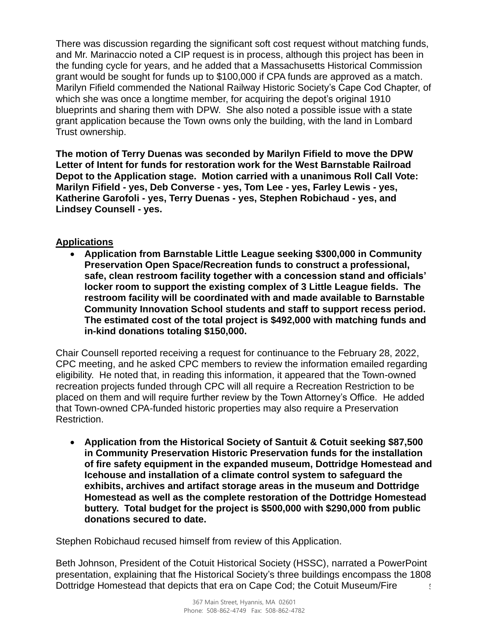There was discussion regarding the significant soft cost request without matching funds, and Mr. Marinaccio noted a CIP request is in process, although this project has been in the funding cycle for years, and he added that a Massachusetts Historical Commission grant would be sought for funds up to \$100,000 if CPA funds are approved as a match. Marilyn Fifield commended the National Railway Historic Society's Cape Cod Chapter, of which she was once a longtime member, for acquiring the depot's original 1910 blueprints and sharing them with DPW. She also noted a possible issue with a state grant application because the Town owns only the building, with the land in Lombard Trust ownership.

**The motion of Terry Duenas was seconded by Marilyn Fifield to move the DPW Letter of Intent for funds for restoration work for the West Barnstable Railroad Depot to the Application stage. Motion carried with a unanimous Roll Call Vote: Marilyn Fifield - yes, Deb Converse - yes, Tom Lee - yes, Farley Lewis - yes, Katherine Garofoli - yes, Terry Duenas - yes, Stephen Robichaud - yes, and Lindsey Counsell - yes.** 

# **Applications**

• **Application from Barnstable Little League seeking \$300,000 in Community Preservation Open Space/Recreation funds to construct a professional, safe, clean restroom facility together with a concession stand and officials' locker room to support the existing complex of 3 Little League fields. The restroom facility will be coordinated with and made available to Barnstable Community Innovation School students and staff to support recess period. The estimated cost of the total project is \$492,000 with matching funds and in-kind donations totaling \$150,000.**

Chair Counsell reported receiving a request for continuance to the February 28, 2022, CPC meeting, and he asked CPC members to review the information emailed regarding eligibility. He noted that, in reading this information, it appeared that the Town-owned recreation projects funded through CPC will all require a Recreation Restriction to be placed on them and will require further review by the Town Attorney's Office. He added that Town-owned CPA-funded historic properties may also require a Preservation Restriction.

• **Application from the Historical Society of Santuit & Cotuit seeking \$87,500 in Community Preservation Historic Preservation funds for the installation of fire safety equipment in the expanded museum, Dottridge Homestead and Icehouse and installation of a climate control system to safeguard the exhibits, archives and artifact storage areas in the museum and Dottridge Homestead as well as the complete restoration of the Dottridge Homestead buttery. Total budget for the project is \$500,000 with \$290,000 from public donations secured to date.**

Stephen Robichaud recused himself from review of this Application.

 $\frac{1}{2}$ Beth Johnson, President of the Cotuit Historical Society (HSSC), narrated a PowerPoint presentation, explaining that fhe Historical Society's three buildings encompass the 1808 Dottridge Homestead that depicts that era on Cape Cod; the Cotuit Museum/Fire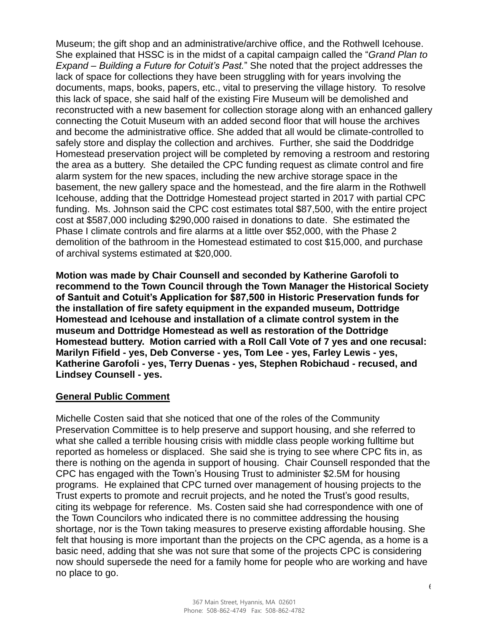Museum; the gift shop and an administrative/archive office, and the Rothwell Icehouse. She explained that HSSC is in the midst of a capital campaign called the "*Grand Plan to Expand – Building a Future for Cotuit's Past.*" She noted that the project addresses the lack of space for collections they have been struggling with for years involving the documents, maps, books, papers, etc., vital to preserving the village history. To resolve this lack of space, she said half of the existing Fire Museum will be demolished and reconstructed with a new basement for collection storage along with an enhanced gallery connecting the Cotuit Museum with an added second floor that will house the archives and become the administrative office. She added that all would be climate-controlled to safely store and display the collection and archives. Further, she said the Doddridge Homestead preservation project will be completed by removing a restroom and restoring the area as a buttery. She detailed the CPC funding request as climate control and fire alarm system for the new spaces, including the new archive storage space in the basement, the new gallery space and the homestead, and the fire alarm in the Rothwell Icehouse, adding that the Dottridge Homestead project started in 2017 with partial CPC funding. Ms. Johnson said the CPC cost estimates total \$87,500, with the entire project cost at \$587,000 including \$290,000 raised in donations to date. She estimated the Phase I climate controls and fire alarms at a little over \$52,000, with the Phase 2 demolition of the bathroom in the Homestead estimated to cost \$15,000, and purchase of archival systems estimated at \$20,000.

**Motion was made by Chair Counsell and seconded by Katherine Garofoli to recommend to the Town Council through the Town Manager the Historical Society of Santuit and Cotuit's Application for \$87,500 in Historic Preservation funds for the installation of fire safety equipment in the expanded museum, Dottridge Homestead and Icehouse and installation of a climate control system in the museum and Dottridge Homestead as well as restoration of the Dottridge Homestead buttery. Motion carried with a Roll Call Vote of 7 yes and one recusal: Marilyn Fifield - yes, Deb Converse - yes, Tom Lee - yes, Farley Lewis - yes, Katherine Garofoli - yes, Terry Duenas - yes, Stephen Robichaud - recused, and Lindsey Counsell - yes.** 

#### **General Public Comment**

Michelle Costen said that she noticed that one of the roles of the Community Preservation Committee is to help preserve and support housing, and she referred to what she called a terrible housing crisis with middle class people working fulltime but reported as homeless or displaced. She said she is trying to see where CPC fits in, as there is nothing on the agenda in support of housing. Chair Counsell responded that the CPC has engaged with the Town's Housing Trust to administer \$2.5M for housing programs. He explained that CPC turned over management of housing projects to the Trust experts to promote and recruit projects, and he noted the Trust's good results, citing its webpage for reference. Ms. Costen said she had correspondence with one of the Town Councilors who indicated there is no committee addressing the housing shortage, nor is the Town taking measures to preserve existing affordable housing. She felt that housing is more important than the projects on the CPC agenda, as a home is a basic need, adding that she was not sure that some of the projects CPC is considering now should supersede the need for a family home for people who are working and have no place to go.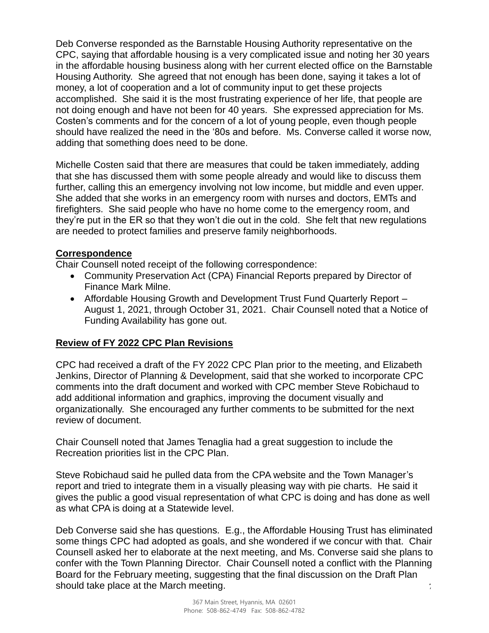Deb Converse responded as the Barnstable Housing Authority representative on the CPC, saying that affordable housing is a very complicated issue and noting her 30 years in the affordable housing business along with her current elected office on the Barnstable Housing Authority. She agreed that not enough has been done, saying it takes a lot of money, a lot of cooperation and a lot of community input to get these projects accomplished. She said it is the most frustrating experience of her life, that people are not doing enough and have not been for 40 years. She expressed appreciation for Ms. Costen's comments and for the concern of a lot of young people, even though people should have realized the need in the '80s and before. Ms. Converse called it worse now, adding that something does need to be done.

Michelle Costen said that there are measures that could be taken immediately, adding that she has discussed them with some people already and would like to discuss them further, calling this an emergency involving not low income, but middle and even upper. She added that she works in an emergency room with nurses and doctors, EMTs and firefighters. She said people who have no home come to the emergency room, and they're put in the ER so that they won't die out in the cold. She felt that new regulations are needed to protect families and preserve family neighborhoods.

## **Correspondence**

Chair Counsell noted receipt of the following correspondence:

- Community Preservation Act (CPA) Financial Reports prepared by Director of Finance Mark Milne.
- Affordable Housing Growth and Development Trust Fund Quarterly Report August 1, 2021, through October 31, 2021. Chair Counsell noted that a Notice of Funding Availability has gone out.

# **Review of FY 2022 CPC Plan Revisions**

CPC had received a draft of the FY 2022 CPC Plan prior to the meeting, and Elizabeth Jenkins, Director of Planning & Development, said that she worked to incorporate CPC comments into the draft document and worked with CPC member Steve Robichaud to add additional information and graphics, improving the document visually and organizationally. She encouraged any further comments to be submitted for the next review of document.

Chair Counsell noted that James Tenaglia had a great suggestion to include the Recreation priorities list in the CPC Plan.

Steve Robichaud said he pulled data from the CPA website and the Town Manager's report and tried to integrate them in a visually pleasing way with pie charts. He said it gives the public a good visual representation of what CPC is doing and has done as well as what CPA is doing at a Statewide level.

7 Deb Converse said she has questions. E.g., the Affordable Housing Trust has eliminated some things CPC had adopted as goals, and she wondered if we concur with that. Chair Counsell asked her to elaborate at the next meeting, and Ms. Converse said she plans to confer with the Town Planning Director. Chair Counsell noted a conflict with the Planning Board for the February meeting, suggesting that the final discussion on the Draft Plan should take place at the March meeting.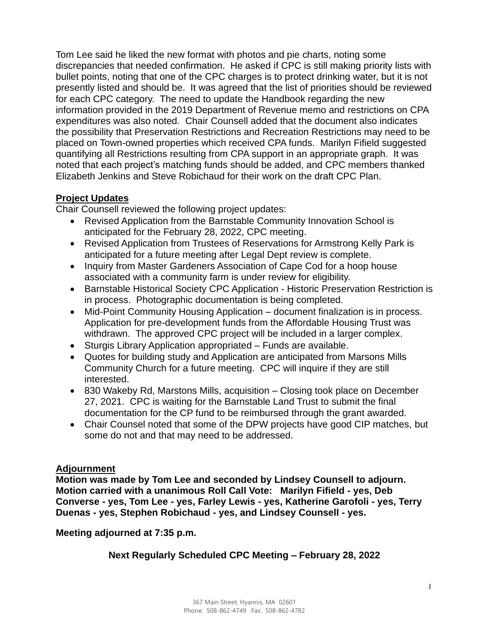Tom Lee said he liked the new format with photos and pie charts, noting some discrepancies that needed confirmation. He asked if CPC is still making priority lists with bullet points, noting that one of the CPC charges is to protect drinking water, but it is not presently listed and should be. It was agreed that the list of priorities should be reviewed for each CPC category. The need to update the Handbook regarding the new information provided in the 2019 Department of Revenue memo and restrictions on CPA expenditures was also noted. Chair Counsell added that the document also indicates the possibility that Preservation Restrictions and Recreation Restrictions may need to be placed on Town-owned properties which received CPA funds. Marilyn Fifield suggested quantifying all Restrictions resulting from CPA support in an appropriate graph. It was noted that each project's matching funds should be added, and CPC members thanked Elizabeth Jenkins and Steve Robichaud for their work on the draft CPC Plan.

## **Project Updates**

Chair Counsell reviewed the following project updates:

- Revised Application from the Barnstable Community Innovation School is anticipated for the February 28, 2022, CPC meeting.
- Revised Application from Trustees of Reservations for Armstrong Kelly Park is anticipated for a future meeting after Legal Dept review is complete.
- Inquiry from Master Gardeners Association of Cape Cod for a hoop house associated with a community farm is under review for eligibility.
- Barnstable Historical Society CPC Application Historic Preservation Restriction is in process. Photographic documentation is being completed.
- Mid-Point Community Housing Application document finalization is in process. Application for pre-development funds from the Affordable Housing Trust was withdrawn. The approved CPC project will be included in a larger complex.
- Sturgis Library Application appropriated Funds are available.
- Quotes for building study and Application are anticipated from Marsons Mills Community Church for a future meeting. CPC will inquire if they are still interested.
- 830 Wakeby Rd, Marstons Mills, acquisition Closing took place on December 27, 2021. CPC is waiting for the Barnstable Land Trust to submit the final documentation for the CP fund to be reimbursed through the grant awarded.
- Chair Counsel noted that some of the DPW projects have good CIP matches, but some do not and that may need to be addressed.

# **Adjournment**

**Motion was made by Tom Lee and seconded by Lindsey Counsell to adjourn. Motion carried with a unanimous Roll Call Vote: Marilyn Fifield - yes, Deb Converse - yes, Tom Lee - yes, Farley Lewis - yes, Katherine Garofoli - yes, Terry Duenas - yes, Stephen Robichaud - yes, and Lindsey Counsell - yes.** 

**Meeting adjourned at 7:35 p.m.** 

# **Next Regularly Scheduled CPC Meeting – February 28, 2022**